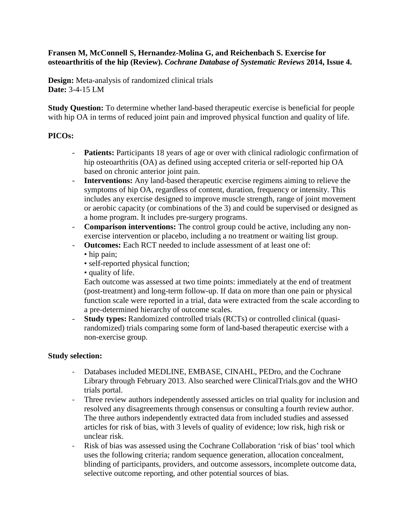## **Fransen M, McConnell S, Hernandez-Molina G, and Reichenbach S. Exercise for osteoarthritis of the hip (Review).** *Cochrane Database of Systematic Reviews* **2014, Issue 4.**

**Design:** Meta-analysis of randomized clinical trials **Date:** 3-4-15 LM

**Study Question:** To determine whether land-based therapeutic exercise is beneficial for people with hip OA in terms of reduced joint pain and improved physical function and quality of life.

## **PICOs:**

- **Patients:** Participants 18 years of age or over with clinical radiologic confirmation of hip osteoarthritis (OA) as defined using accepted criteria or self-reported hip OA based on chronic anterior joint pain.
- **Interventions:** Any land-based therapeutic exercise regimens aiming to relieve the symptoms of hip OA, regardless of content, duration, frequency or intensity. This includes any exercise designed to improve muscle strength, range of joint movement or aerobic capacity (or combinations of the 3) and could be supervised or designed as a home program. It includes pre-surgery programs.
- **Comparison interventions:** The control group could be active, including any nonexercise intervention or placebo, including a no treatment or waiting list group.
- **Outcomes:** Each RCT needed to include assessment of at least one of:
	- hip pain:
	- self-reported physical function;
	- quality of life.

Each outcome was assessed at two time points: immediately at the end of treatment (post-treatment) and long-term follow-up. If data on more than one pain or physical function scale were reported in a trial, data were extracted from the scale according to a pre-determined hierarchy of outcome scales.

- **Study types:** Randomized controlled trials (RCTs) or controlled clinical (quasirandomized) trials comparing some form of land-based therapeutic exercise with a non-exercise group.

# **Study selection:**

- Databases included MEDLINE, EMBASE, CINAHL, PEDro, and the Cochrane Library through February 2013. Also searched were ClinicalTrials.gov and the WHO trials portal.
- Three review authors independently assessed articles on trial quality for inclusion and resolved any disagreements through consensus or consulting a fourth review author. The three authors independently extracted data from included studies and assessed articles for risk of bias, with 3 levels of quality of evidence; low risk, high risk or unclear risk.
- Risk of bias was assessed using the Cochrane Collaboration 'risk of bias' tool which uses the following criteria; random sequence generation, allocation concealment, blinding of participants, providers, and outcome assessors, incomplete outcome data, selective outcome reporting, and other potential sources of bias.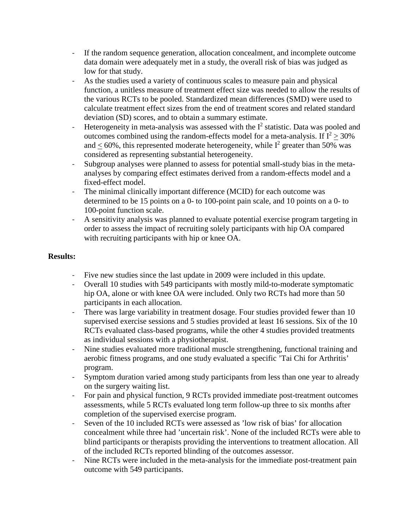- If the random sequence generation, allocation concealment, and incomplete outcome data domain were adequately met in a study, the overall risk of bias was judged as low for that study.
- As the studies used a variety of continuous scales to measure pain and physical function, a unitless measure of treatment effect size was needed to allow the results of the various RCTs to be pooled. Standardized mean differences (SMD) were used to calculate treatment effect sizes from the end of treatment scores and related standard deviation (SD) scores, and to obtain a summary estimate.
- Heterogeneity in meta-analysis was assessed with the  $I^2$  statistic. Data was pooled and outcomes combined using the random-effects model for a meta-analysis. If  $I^2 > 30\%$ and  $< 60\%$ , this represented moderate heterogeneity, while  $I^2$  greater than 50% was considered as representing substantial heterogeneity.
- Subgroup analyses were planned to assess for potential small-study bias in the metaanalyses by comparing effect estimates derived from a random-effects model and a fixed-effect model.
- The minimal clinically important difference (MCID) for each outcome was determined to be 15 points on a 0- to 100-point pain scale, and 10 points on a 0- to 100-point function scale.
- A sensitivity analysis was planned to evaluate potential exercise program targeting in order to assess the impact of recruiting solely participants with hip OA compared with recruiting participants with hip or knee OA.

# **Results:**

- Five new studies since the last update in 2009 were included in this update.
- Overall 10 studies with 549 participants with mostly mild-to-moderate symptomatic hip OA, alone or with knee OA were included. Only two RCTs had more than 50 participants in each allocation.
- There was large variability in treatment dosage. Four studies provided fewer than 10 supervised exercise sessions and 5 studies provided at least 16 sessions. Six of the 10 RCTs evaluated class-based programs, while the other 4 studies provided treatments as individual sessions with a physiotherapist.
- Nine studies evaluated more traditional muscle strengthening, functional training and aerobic fitness programs, and one study evaluated a specific 'Tai Chi for Arthritis' program.
- Symptom duration varied among study participants from less than one year to already on the surgery waiting list.
- For pain and physical function, 9 RCTs provided immediate post-treatment outcomes assessments, while 5 RCTs evaluated long term follow-up three to six months after completion of the supervised exercise program.
- Seven of the 10 included RCTs were assessed as 'low risk of bias' for allocation concealment while three had 'uncertain risk'. None of the included RCTs were able to blind participants or therapists providing the interventions to treatment allocation. All of the included RCTs reported blinding of the outcomes assessor.
- Nine RCTs were included in the meta-analysis for the immediate post-treatment pain outcome with 549 participants.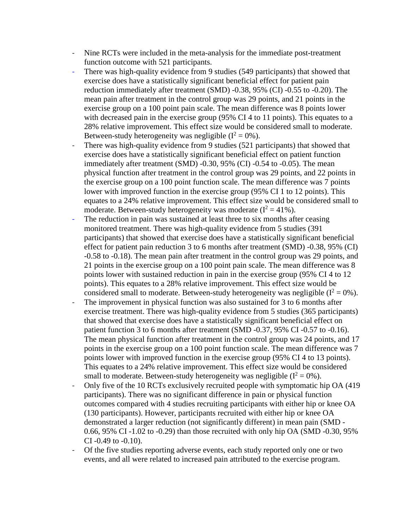- Nine RCTs were included in the meta-analysis for the immediate post-treatment function outcome with 521 participants.
- There was high-quality evidence from 9 studies (549 participants) that showed that exercise does have a statistically significant beneficial effect for patient pain reduction immediately after treatment (SMD) -0.38, 95% (CI) -0.55 to -0.20). The mean pain after treatment in the control group was 29 points, and 21 points in the exercise group on a 100 point pain scale. The mean difference was 8 points lower with decreased pain in the exercise group (95% CI 4 to 11 points). This equates to a 28% relative improvement. This effect size would be considered small to moderate. Between-study heterogeneity was negligible  $(I^2 = 0\%)$ .
- There was high-quality evidence from 9 studies (521 participants) that showed that exercise does have a statistically significant beneficial effect on patient function immediately after treatment (SMD) -0.30, 95% (CI) -0.54 to -0.05). The mean physical function after treatment in the control group was 29 points, and 22 points in the exercise group on a 100 point function scale. The mean difference was 7 points lower with improved function in the exercise group (95% CI 1 to 12 points). This equates to a 24% relative improvement. This effect size would be considered small to moderate. Between-study heterogeneity was moderate  $(I^2 = 41\%)$ .
- The reduction in pain was sustained at least three to six months after ceasing monitored treatment. There was high-quality evidence from 5 studies (391 participants) that showed that exercise does have a statistically significant beneficial effect for patient pain reduction 3 to 6 months after treatment (SMD) -0.38, 95% (CI) -0.58 to -0.18). The mean pain after treatment in the control group was 29 points, and 21 points in the exercise group on a 100 point pain scale. The mean difference was 8 points lower with sustained reduction in pain in the exercise group (95% CI 4 to 12 points). This equates to a 28% relative improvement. This effect size would be considered small to moderate. Between-study heterogeneity was negligible  $(I^2 = 0\%)$ .
- The improvement in physical function was also sustained for 3 to 6 months after exercise treatment. There was high-quality evidence from 5 studies (365 participants) that showed that exercise does have a statistically significant beneficial effect on patient function 3 to 6 months after treatment (SMD -0.37, 95% CI -0.57 to -0.16). The mean physical function after treatment in the control group was 24 points, and 17 points in the exercise group on a 100 point function scale. The mean difference was 7 points lower with improved function in the exercise group (95% CI 4 to 13 points). This equates to a 24% relative improvement. This effect size would be considered small to moderate. Between-study heterogeneity was negligible  $(I^2 = 0\%)$ .
- Only five of the 10 RCTs exclusively recruited people with symptomatic hip OA (419 participants). There was no significant difference in pain or physical function outcomes compared with 4 studies recruiting participants with either hip or knee OA (130 participants). However, participants recruited with either hip or knee OA demonstrated a larger reduction (not significantly different) in mean pain (SMD - 0.66, 95% CI -1.02 to -0.29) than those recruited with only hip OA (SMD -0.30, 95% CI -0.49 to -0.10).
- Of the five studies reporting adverse events, each study reported only one or two events, and all were related to increased pain attributed to the exercise program.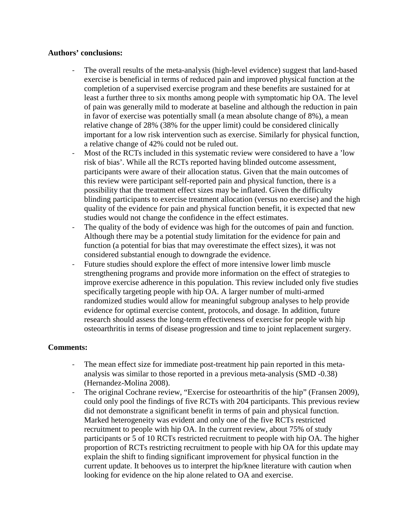### **Authors' conclusions:**

- The overall results of the meta-analysis (high-level evidence) suggest that land-based exercise is beneficial in terms of reduced pain and improved physical function at the completion of a supervised exercise program and these benefits are sustained for at least a further three to six months among people with symptomatic hip OA. The level of pain was generally mild to moderate at baseline and although the reduction in pain in favor of exercise was potentially small (a mean absolute change of 8%), a mean relative change of 28% (38% for the upper limit) could be considered clinically important for a low risk intervention such as exercise. Similarly for physical function, a relative change of 42% could not be ruled out.
- Most of the RCTs included in this systematic review were considered to have a 'low risk of bias'. While all the RCTs reported having blinded outcome assessment, participants were aware of their allocation status. Given that the main outcomes of this review were participant self-reported pain and physical function, there is a possibility that the treatment effect sizes may be inflated. Given the difficulty blinding participants to exercise treatment allocation (versus no exercise) and the high quality of the evidence for pain and physical function benefit, it is expected that new studies would not change the confidence in the effect estimates.
- The quality of the body of evidence was high for the outcomes of pain and function. Although there may be a potential study limitation for the evidence for pain and function (a potential for bias that may overestimate the effect sizes), it was not considered substantial enough to downgrade the evidence.
- Future studies should explore the effect of more intensive lower limb muscle strengthening programs and provide more information on the effect of strategies to improve exercise adherence in this population. This review included only five studies specifically targeting people with hip OA. A larger number of multi-armed randomized studies would allow for meaningful subgroup analyses to help provide evidence for optimal exercise content, protocols, and dosage. In addition, future research should assess the long-term effectiveness of exercise for people with hip osteoarthritis in terms of disease progression and time to joint replacement surgery.

### **Comments:**

- The mean effect size for immediate post-treatment hip pain reported in this metaanalysis was similar to those reported in a previous meta-analysis (SMD -0.38) (Hernandez-Molina 2008).
- The original Cochrane review, "Exercise for osteoarthritis of the hip" (Fransen 2009), could only pool the findings of five RCTs with 204 participants. This previous review did not demonstrate a significant benefit in terms of pain and physical function. Marked heterogeneity was evident and only one of the five RCTs restricted recruitment to people with hip OA. In the current review, about 75% of study participants or 5 of 10 RCTs restricted recruitment to people with hip OA. The higher proportion of RCTs restricting recruitment to people with hip OA for this update may explain the shift to finding significant improvement for physical function in the current update. It behooves us to interpret the hip/knee literature with caution when looking for evidence on the hip alone related to OA and exercise.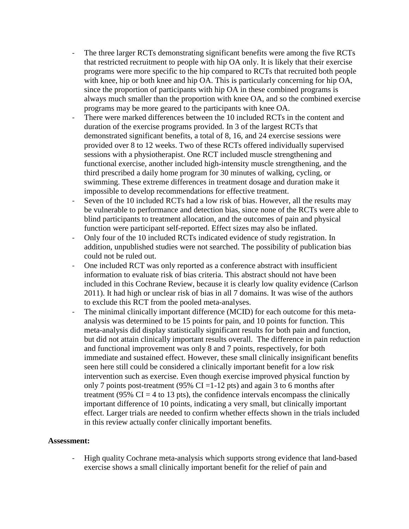- The three larger RCTs demonstrating significant benefits were among the five RCTs that restricted recruitment to people with hip OA only. It is likely that their exercise programs were more specific to the hip compared to RCTs that recruited both people with knee, hip or both knee and hip OA. This is particularly concerning for hip OA, since the proportion of participants with hip OA in these combined programs is always much smaller than the proportion with knee OA, and so the combined exercise programs may be more geared to the participants with knee OA.
- There were marked differences between the 10 included RCTs in the content and duration of the exercise programs provided. In 3 of the largest RCTs that demonstrated significant benefits, a total of 8, 16, and 24 exercise sessions were provided over 8 to 12 weeks. Two of these RCTs offered individually supervised sessions with a physiotherapist. One RCT included muscle strengthening and functional exercise, another included high-intensity muscle strengthening, and the third prescribed a daily home program for 30 minutes of walking, cycling, or swimming. These extreme differences in treatment dosage and duration make it impossible to develop recommendations for effective treatment.
- Seven of the 10 included RCTs had a low risk of bias. However, all the results may be vulnerable to performance and detection bias, since none of the RCTs were able to blind participants to treatment allocation, and the outcomes of pain and physical function were participant self-reported. Effect sizes may also be inflated.
- Only four of the 10 included RCTs indicated evidence of study registration. In addition, unpublished studies were not searched. The possibility of publication bias could not be ruled out.
- One included RCT was only reported as a conference abstract with insufficient information to evaluate risk of bias criteria. This abstract should not have been included in this Cochrane Review, because it is clearly low quality evidence (Carlson 2011). It had high or unclear risk of bias in all 7 domains. It was wise of the authors to exclude this RCT from the pooled meta-analyses.
- The minimal clinically important difference (MCID) for each outcome for this metaanalysis was determined to be 15 points for pain, and 10 points for function. This meta-analysis did display statistically significant results for both pain and function, but did not attain clinically important results overall. The difference in pain reduction and functional improvement was only 8 and 7 points, respectively, for both immediate and sustained effect. However, these small clinically insignificant benefits seen here still could be considered a clinically important benefit for a low risk intervention such as exercise. Even though exercise improved physical function by only 7 points post-treatment (95% CI = 1-12 pts) and again 3 to 6 months after treatment (95%  $CI = 4$  to 13 pts), the confidence intervals encompass the clinically important difference of 10 points, indicating a very small, but clinically important effect. Larger trials are needed to confirm whether effects shown in the trials included in this review actually confer clinically important benefits.

### **Assessment:**

- High quality Cochrane meta-analysis which supports strong evidence that land-based exercise shows a small clinically important benefit for the relief of pain and